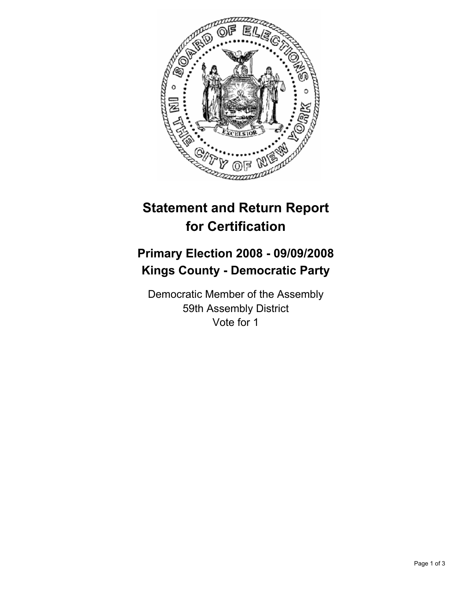

## **Statement and Return Report for Certification**

## **Primary Election 2008 - 09/09/2008 Kings County - Democratic Party**

Democratic Member of the Assembly 59th Assembly District Vote for 1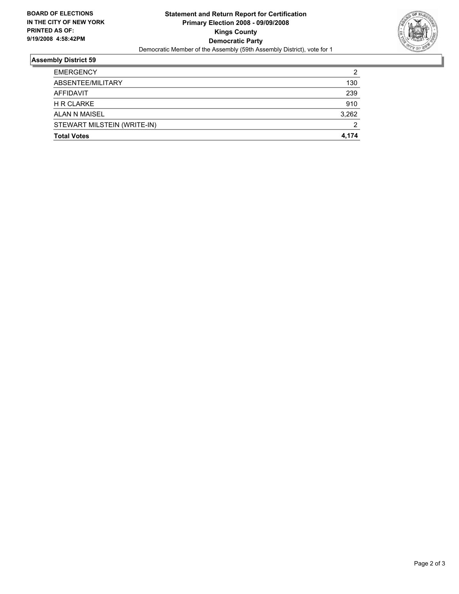

## **Assembly District 59**

| <b>EMERGENCY</b>            | 2     |
|-----------------------------|-------|
| ABSENTEE/MILITARY           | 130   |
| <b>AFFIDAVIT</b>            | 239   |
| <b>H R CLARKE</b>           | 910   |
| ALAN N MAISEL               | 3,262 |
| STEWART MILSTEIN (WRITE-IN) | ົ     |
| <b>Total Votes</b>          | 4,174 |